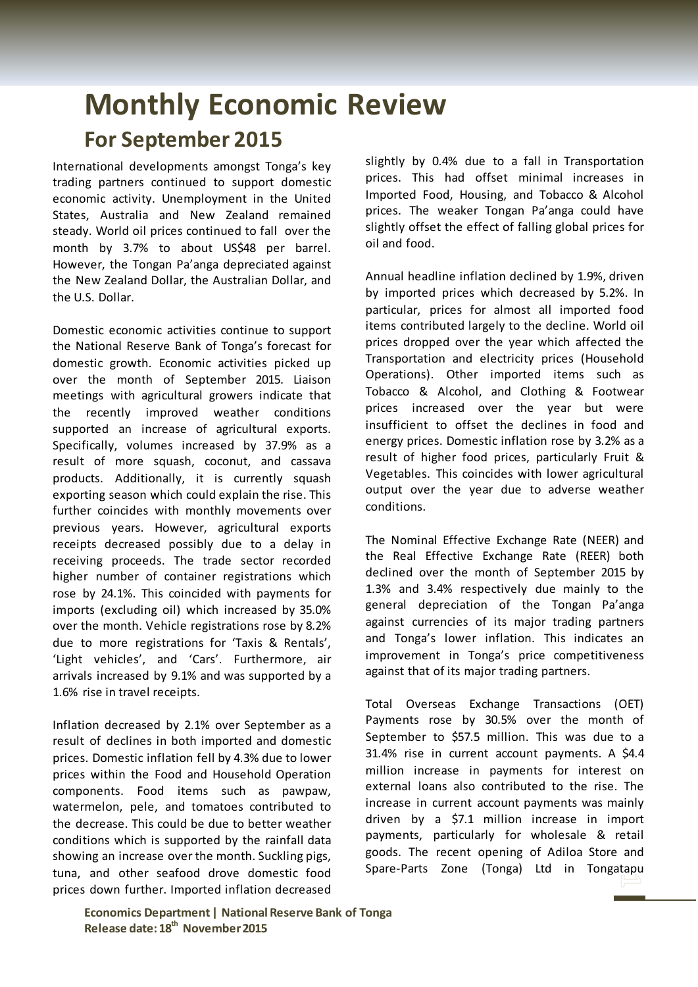## **Monthly Economic Review For September 2015**

International developments amongst Tonga's key trading partners continued to support domestic economic activity. Unemployment in the United States, Australia and New Zealand remained steady. World oil prices continued to fall over the month by 3.7% to about US\$48 per barrel. However, the Tongan Pa'anga depreciated against the New Zealand Dollar, the Australian Dollar, and the U.S. Dollar.

Domestic economic activities continue to support the National Reserve Bank of Tonga's forecast for domestic growth. Economic activities picked up over the month of September 2015. Liaison meetings with agricultural growers indicate that the recently improved weather conditions supported an increase of agricultural exports. Specifically, volumes increased by 37.9% as a result of more squash, coconut, and cassava products. Additionally, it is currently squash exporting season which could explain the rise. This further coincides with monthly movements over previous years. However, agricultural exports receipts decreased possibly due to a delay in receiving proceeds. The trade sector recorded higher number of container registrations which rose by 24.1%. This coincided with payments for imports (excluding oil) which increased by 35.0% over the month. Vehicle registrations rose by 8.2% due to more registrations for 'Taxis & Rentals', 'Light vehicles', and 'Cars'. Furthermore, air arrivals increased by 9.1% and was supported by a 1.6% rise in travel receipts.

Inflation decreased by 2.1% over September as a result of declines in both imported and domestic prices. Domestic inflation fell by 4.3% due to lower prices within the Food and Household Operation components. Food items such as pawpaw, watermelon, pele, and tomatoes contributed to the decrease. This could be due to better weather conditions which is supported by the rainfall data showing an increase over the month. Suckling pigs, tuna, and other seafood drove domestic food prices down further. Imported inflation decreased

slightly by 0.4% due to a fall in Transportation prices. This had offset minimal increases in Imported Food, Housing, and Tobacco & Alcohol prices. The weaker Tongan Pa'anga could have slightly offset the effect of falling global prices for oil and food.

Annual headline inflation declined by 1.9%, driven by imported prices which decreased by 5.2%. In particular, prices for almost all imported food items contributed largely to the decline. World oil prices dropped over the year which affected the Transportation and electricity prices (Household Operations). Other imported items such as Tobacco & Alcohol, and Clothing & Footwear prices increased over the year but were insufficient to offset the declines in food and energy prices. Domestic inflation rose by 3.2% as a result of higher food prices, particularly Fruit & Vegetables. This coincides with lower agricultural output over the year due to adverse weather conditions.

The Nominal Effective Exchange Rate (NEER) and the Real Effective Exchange Rate (REER) both declined over the month of September 2015 by 1.3% and 3.4% respectively due mainly to the general depreciation of the Tongan Pa'anga against currencies of its major trading partners and Tonga's lower inflation. This indicates an improvement in Tonga's price competitiveness against that of its major trading partners.

Total Overseas Exchange Transactions (OET) Payments rose by 30.5% over the month of September to \$57.5 million. This was due to a 31.4% rise in current account payments. A \$4.4 million increase in payments for interest on external loans also contributed to the rise. The increase in current account payments was mainly driven by a \$7.1 million increase in import payments, particularly for wholesale & retail goods. The recent opening of Adiloa Store and Spare-Parts Zone (Tonga) Ltd in Tongatapu

**Economics Department | National Reserve Bank of Tonga Release date: 18th November2015**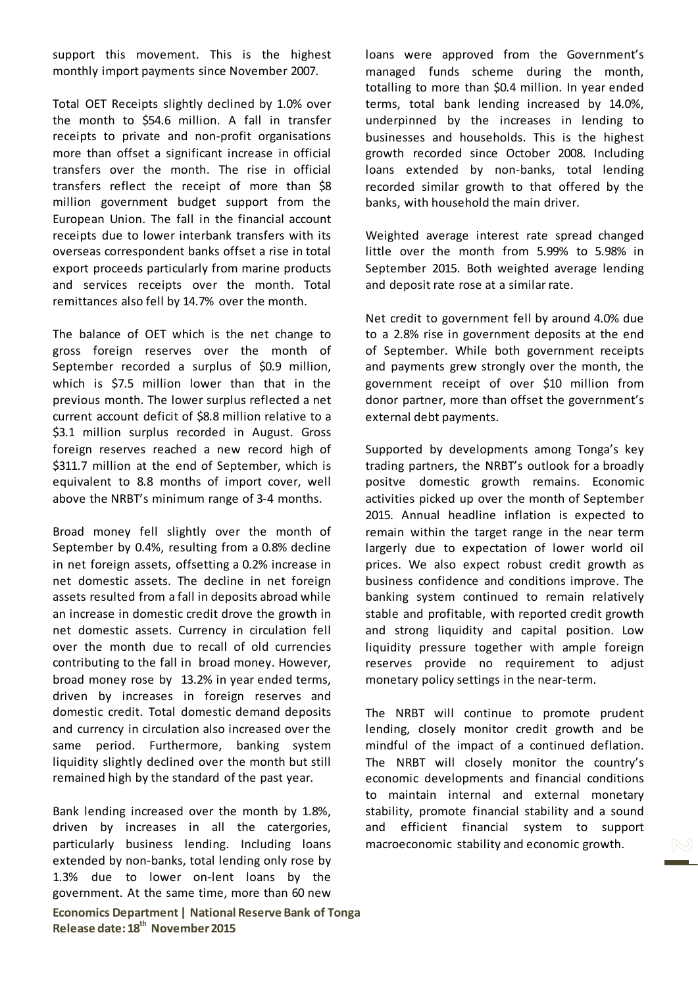support this movement. This is the highest monthly import payments since November 2007.

Total OET Receipts slightly declined by 1.0% over the month to \$54.6 million. A fall in transfer receipts to private and non-profit organisations more than offset a significant increase in official transfers over the month. The rise in official transfers reflect the receipt of more than \$8 million government budget support from the European Union. The fall in the financial account receipts due to lower interbank transfers with its overseas correspondent banks offset a rise in total export proceeds particularly from marine products and services receipts over the month. Total remittances also fell by 14.7% over the month.

The balance of OET which is the net change to gross foreign reserves over the month of September recorded a surplus of \$0.9 million, which is \$7.5 million lower than that in the previous month. The lower surplus reflected a net current account deficit of \$8.8 million relative to a \$3.1 million surplus recorded in August. Gross foreign reserves reached a new record high of \$311.7 million at the end of September, which is equivalent to 8.8 months of import cover, well above the NRBT's minimum range of 3-4 months.

Broad money fell slightly over the month of September by 0.4%, resulting from a 0.8% decline in net foreign assets, offsetting a 0.2% increase in net domestic assets. The decline in net foreign assets resulted from a fall in deposits abroad while an increase in domestic credit drove the growth in net domestic assets. Currency in circulation fell over the month due to recall of old currencies contributing to the fall in broad money. However, broad money rose by 13.2% in year ended terms, driven by increases in foreign reserves and domestic credit. Total domestic demand deposits and currency in circulation also increased over the same period. Furthermore, banking system liquidity slightly declined over the month but still remained high by the standard of the past year.

**Economics Department | National Reserve Bank of Tonga Release date: 18th November2015** Bank lending increased over the month by 1.8%, driven by increases in all the catergories, particularly business lending. Including loans extended by non-banks, total lending only rose by 1.3% due to lower on-lent loans by the government. At the same time, more than 60 new

loans were approved from the Government's managed funds scheme during the month, totalling to more than \$0.4 million. In year ended terms, total bank lending increased by 14.0%, underpinned by the increases in lending to businesses and households. This is the highest growth recorded since October 2008. Including loans extended by non-banks, total lending recorded similar growth to that offered by the banks, with household the main driver.

Weighted average interest rate spread changed little over the month from 5.99% to 5.98% in September 2015. Both weighted average lending and deposit rate rose at a similar rate.

Net credit to government fell by around 4.0% due to a 2.8% rise in government deposits at the end of September. While both government receipts and payments grew strongly over the month, the government receipt of over \$10 million from donor partner, more than offset the government's external debt payments.

Supported by developments among Tonga's key trading partners, the NRBT's outlook for a broadly positve domestic growth remains. Economic activities picked up over the month of September 2015. Annual headline inflation is expected to remain within the target range in the near term largerly due to expectation of lower world oil prices. We also expect robust credit growth as business confidence and conditions improve. The banking system continued to remain relatively stable and profitable, with reported credit growth and strong liquidity and capital position. Low liquidity pressure together with ample foreign reserves provide no requirement to adjust monetary policy settings in the near-term.

The NRBT will continue to promote prudent lending, closely monitor credit growth and be mindful of the impact of a continued deflation. The NRBT will closely monitor the country's economic developments and financial conditions to maintain internal and external monetary stability, promote financial stability and a sound and efficient financial system to support macroeconomic stability and economic growth.